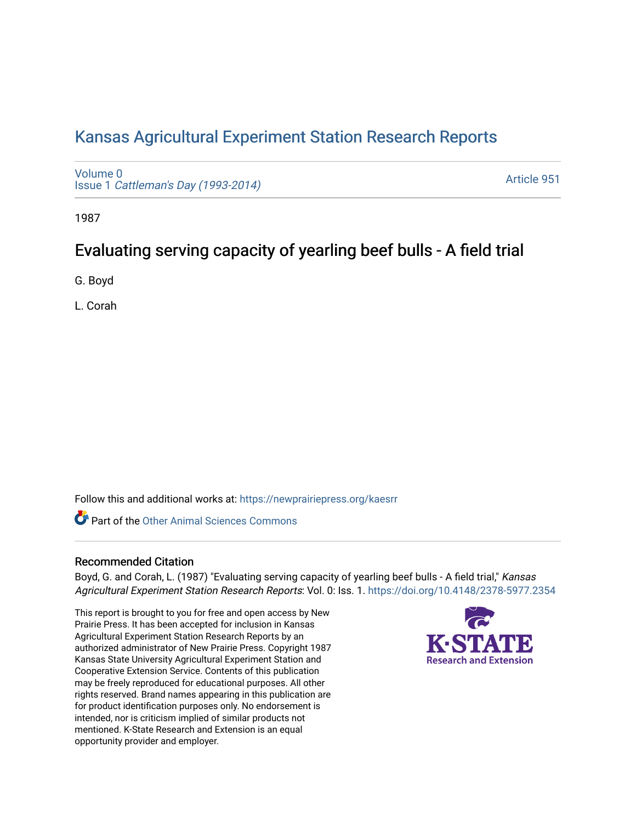# [Kansas Agricultural Experiment Station Research Reports](https://newprairiepress.org/kaesrr)

[Volume 0](https://newprairiepress.org/kaesrr/vol0) Issue 1 [Cattleman's Day \(1993-2014\)](https://newprairiepress.org/kaesrr/vol0/iss1) 

[Article 951](https://newprairiepress.org/kaesrr/vol0/iss1/951) 

1987

# Evaluating serving capacity of yearling beef bulls - A field trial

G. Boyd

L. Corah

Follow this and additional works at: [https://newprairiepress.org/kaesrr](https://newprairiepress.org/kaesrr?utm_source=newprairiepress.org%2Fkaesrr%2Fvol0%2Fiss1%2F951&utm_medium=PDF&utm_campaign=PDFCoverPages) 

**C** Part of the [Other Animal Sciences Commons](http://network.bepress.com/hgg/discipline/82?utm_source=newprairiepress.org%2Fkaesrr%2Fvol0%2Fiss1%2F951&utm_medium=PDF&utm_campaign=PDFCoverPages)

#### Recommended Citation

Boyd, G. and Corah, L. (1987) "Evaluating serving capacity of yearling beef bulls - A field trial," Kansas Agricultural Experiment Station Research Reports: Vol. 0: Iss. 1.<https://doi.org/10.4148/2378-5977.2354>

This report is brought to you for free and open access by New Prairie Press. It has been accepted for inclusion in Kansas Agricultural Experiment Station Research Reports by an authorized administrator of New Prairie Press. Copyright 1987 Kansas State University Agricultural Experiment Station and Cooperative Extension Service. Contents of this publication may be freely reproduced for educational purposes. All other rights reserved. Brand names appearing in this publication are for product identification purposes only. No endorsement is intended, nor is criticism implied of similar products not mentioned. K-State Research and Extension is an equal opportunity provider and employer.

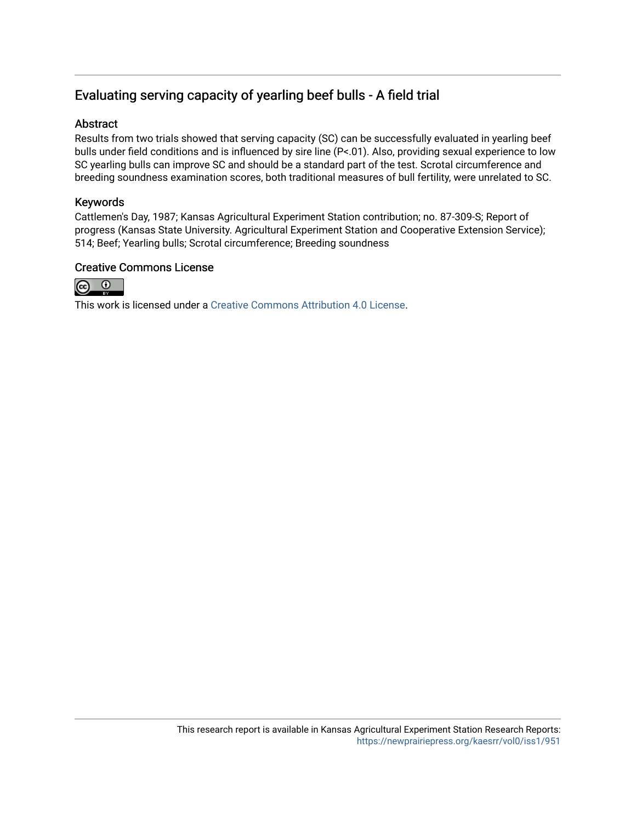# Evaluating serving capacity of yearling beef bulls - A field trial

# Abstract

Results from two trials showed that serving capacity (SC) can be successfully evaluated in yearling beef bulls under field conditions and is influenced by sire line (P<.01). Also, providing sexual experience to low SC yearling bulls can improve SC and should be a standard part of the test. Scrotal circumference and breeding soundness examination scores, both traditional measures of bull fertility, were unrelated to SC.

# Keywords

Cattlemen's Day, 1987; Kansas Agricultural Experiment Station contribution; no. 87-309-S; Report of progress (Kansas State University. Agricultural Experiment Station and Cooperative Extension Service); 514; Beef; Yearling bulls; Scrotal circumference; Breeding soundness

## Creative Commons License



This work is licensed under a [Creative Commons Attribution 4.0 License](https://creativecommons.org/licenses/by/4.0/).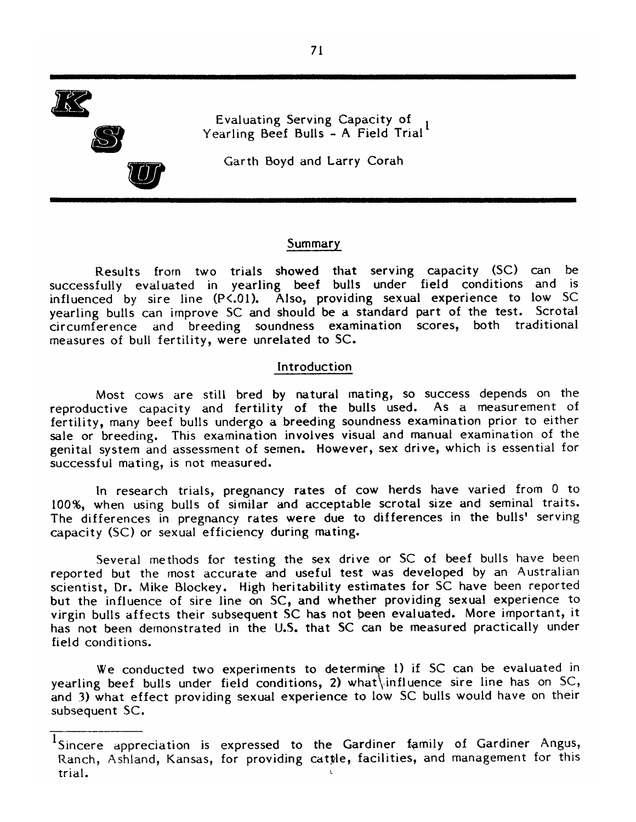Evaluating Serving Capacity of Yearling Beef Bulls - A Field Trial

Garth Boyd and Larry Corah

## Summary

Results from two trials showed that serving capacity (SC) can be successfully evaluated in yearling beef bulls under field conditions and is influenced by sire line (P<.01). Also, providing sexual experience to low SC yearling bulls can improve SC and should be a standard part of the test. Scrotal circumference and breeding soundness examination scores, both traditional measures of bull fertility, were unrelated to SC.

## Introduction

Most cows are still bred by natural mating, so success depends on the reproductive capacity and fertility of the bulls used. As a measurement of fertility, many beef bulls undergo a breeding soundness examination prior to either sale or breeding. This examination involves visual and manual examination of the genital system and assessment of semen. However, sex drive, which is essential for successful mating, is not measured.

In research trials, pregnancy rates of cow herds have varied from 0 to 100%, when using bulls of similar and acceptable scrotal size and seminal traits. The differences in pregnancy rates were due to differences in the bulls' serving capacity (SC) or sexual efficiency during mating.

Several methods for testing the sex drive or SC of beef bulls have been reported but the most accurate and useful test was developed by an Australian scientist, Dr. Mike Blockey. High heritability estimates for SC have been reported but the influence of sire line on SC, and whether providing sexual experience to virgin bulls affects their subsequent SC has not been evaluated. More important, it has not been demonstrated in the U.S. that SC can be measured practically under field conditions.

We conducted two experiments to determine 1) if SC can be evaluated in yearling beef bulls under field conditions, 2) what influence sire line has on SC, and 3) what effect providing sexual experience to low SC bulls would have on their subsequent SC.



Sincere appreciation is expressed to the Gardiner family of Gardiner Angus, Ranch, Ashland, Kansas, for providing cattle, facilities, and management for this trial.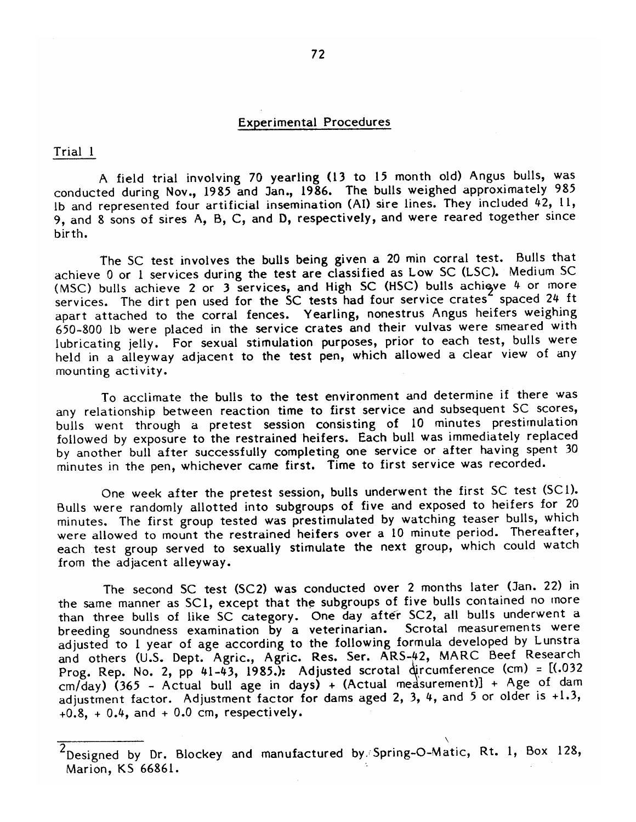#### **Experimental Procedures**

Trial 1

A field trial involving 70 yearling (13 to 15 month old) Angus bulls, was conducted during Nov., 1985 and Jan., 1986. The bulls weighed approximately 985 Ib and represented four artificial insemination (AI) sire lines. They included 42, 11, 9, and 8 sons of sires A, B, C, and D, respectively, and were reared together since birth.

The SC test involves the bulls being given a 20 min corral test. Bulls that achieve 0 or 1 services during the test are classified as Low SC (LSC). Medium SC (MSC) bulls achieve 2 or 3 services, and High SC (HSC) bulls achieve 4 or more services. The dirt pen used for the SC tests had four service crates<sup>2</sup> spaced 24 ft apart attached to the corral fences. Yearling, nonestrus Angus heifers weighing 650-800 lb were placed in the service crates and their vulvas were smeared with lubricating jelly. For sexual stimulation purposes, prior to each test, bulls were held in a alleyway adjacent to the test pen, which allowed a clear view of any mounting activity.

To acclimate the bulls to the test environment and determine if there was any relationship between reaction time to first service and subsequent SC scores, bulls went through a pretest session consisting of 10 minutes prestimulation followed by exposure to the restrained heifers. Each bull was immediately replaced by another bull after successfully completing one service or after having spent 30 minutes in the pen, whichever came first. Time to first service was recorded.

One week after the pretest session, bulls underwent the first SC test (SC1). Bulls were randomly allotted into subgroups of five and exposed to heifers for 20 minutes. The first group tested was prestimulated by watching teaser bulls, which were allowed to mount the restrained heifers over a 10 minute period. Thereafter, each test group served to sexually stimulate the next group, which could watch from the adjacent alleyway.

The second SC test (SC2) was conducted over 2 months later (Jan. 22) in the same manner as SC1, except that the subgroups of five bulls contained no more than three bulls of like SC category. One day after SC2, all bulls underwent a breeding soundness examination by a veterinarian. Scrotal measurements were adjusted to 1 year of age according to the following formula developed by Lunstra and others (U.S. Dept. Agric., Agric. Res. Ser. ARS-42, MARC Beef Research Prog. Rep. No. 2, pp 41-43, 1985.): Adjusted scrotal dircumference (cm) =  $[(.032)$ cm/day) (365 - Actual bull age in days) + (Actual medsurement)] + Age of dam adjustment factor. Adjustment factor for dams aged 2, 3, 4, and 5 or older is +1.3,  $+0.8$ ,  $+0.4$ , and  $+0.0$  cm, respectively.

<sup>&</sup>lt;sup>2</sup>Designed by Dr. Blockey and manufactured by Spring-O-Matic, Rt. 1, Box 128, Marion, KS 66861.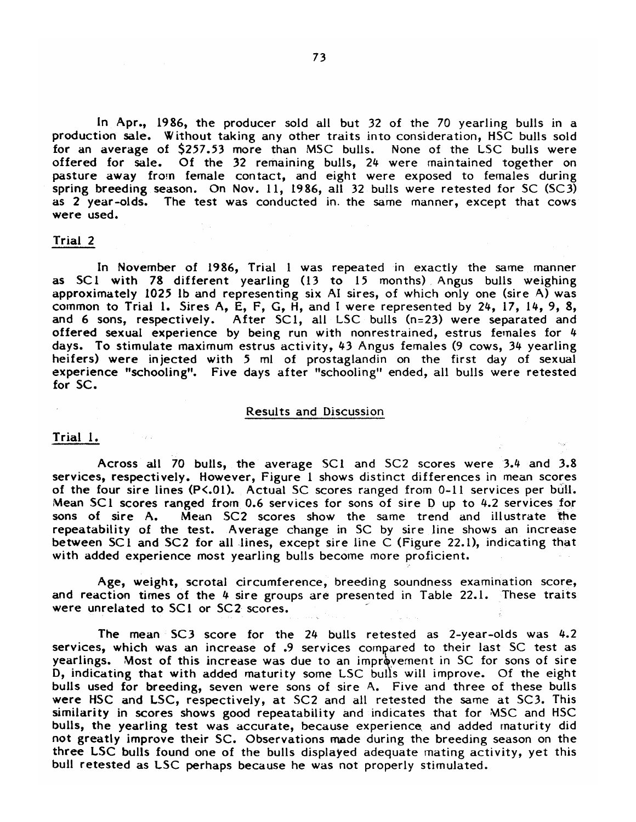In Apr., 1986, the producer sold all but 32 of the 70 yearling bulls in a production sale. Without taking any other traits into consideration, HSC bulls sold for an average of \$257.53 more than MSC bulls. None of the LSC bulls were offered for sale. Of the 32 remaining bulls, 24 were maintained together on pasture away from female contact, and eight were exposed to females during spring breeding season. On Nov. 11, 1986, all 32 bulls were retested for SC (SC3) as 2 year-olds. The test was conducted in the same manner, except that cows were used.

#### Trial 2

In November of 1986, Trial 1 was repeated in exactly the same manner as SC1 with 78 different yearling (13 to 15 months) Angus bulls weighing approximately 1025 lb and representing six AI sires, of which only one (sire A) was common to Trial 1. Sires A, E, F, G, H, and I were represented by 24, 17, 14, 9, 8, and 6 sons, respectively. After SC1, all LSC bulls (n=23) were separated and offered sexual experience by being run with nonrestrained, estrus females for 4 days. To stimulate maximum estrus activity, 43 Angus females (9 cows, 34 yearling heifers) were injected with 5 ml of prostaglandin on the first day of sexual experience "schooling". Five days after "schooling" ended, all bulls were retested for SC.

#### Results and Discussion

#### Trial 1.

Across all 70 bulls, the average SC1 and SC2 scores were 3.4 and 3.8 services, respectively. However, Figure 1 shows distinct differences in mean scores of the four sire lines (P<.01). Actual SC scores ranged from 0-11 services per bull. Mean SC1 scores ranged from 0.6 services for sons of sire D up to 4.2 services for Mean SC2 scores show the same trend and illustrate the sons of sire A. repeatability of the test. Average change in SC by sire line shows an increase between SC1 and SC2 for all lines, except sire line C (Figure 22.1), indicating that with added experience most yearling bulls become more proficient.

Age, weight, scrotal circumference, breeding soundness examination score, and reaction times of the 4 sire groups are presented in Table 22.1. These traits were unrelated to SC1 or SC2 scores.

The mean SC3 score for the 24 bulls retested as 2-year-olds was 4.2 services, which was an increase of .9 services compared to their last SC test as yearlings. Most of this increase was due to an improvement in SC for sons of sire D, indicating that with added maturity some LSC bulls will improve. Of the eight bulls used for breeding, seven were sons of sire A. Five and three of these bulls were HSC and LSC, respectively, at SC2 and all retested the same at SC3. This similarity in scores shows good repeatability and indicates that for MSC and HSC bulls, the yearling test was accurate, because experience and added maturity did not greatly improve their SC. Observations made during the breeding season on the three LSC bulls found one of the bulls displayed adequate mating activity, yet this bull retested as LSC perhaps because he was not properly stimulated.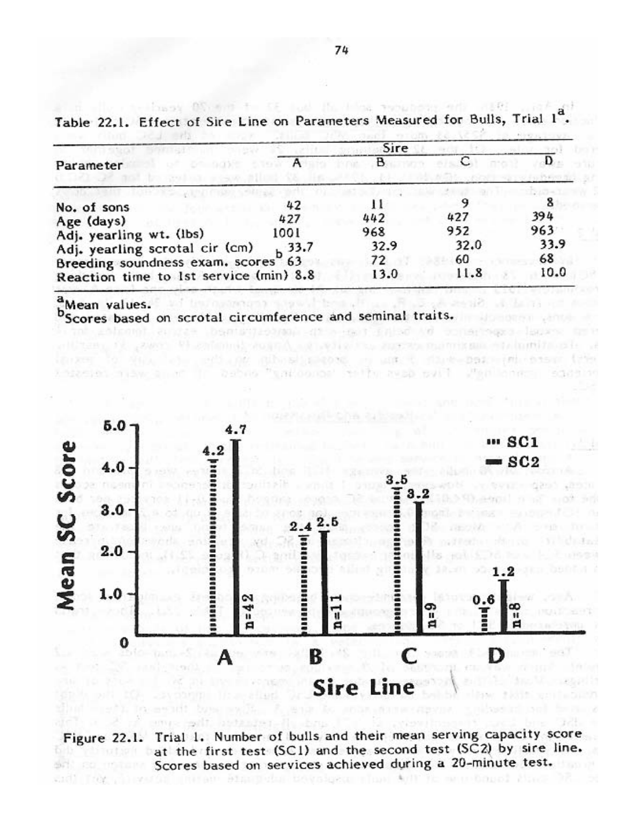|                                        | Sire     |      |      |      |  |  |  |
|----------------------------------------|----------|------|------|------|--|--|--|
| Parameter                              |          | в    |      |      |  |  |  |
|                                        |          |      |      |      |  |  |  |
| No. of sons                            | 42       |      |      |      |  |  |  |
| Age (days)                             | 427      | 442  | 427  | 394  |  |  |  |
| Adj. yearling wt. (lbs)                | 1001     | 968  | 952  | 963  |  |  |  |
| Adj. yearling scrotal cir (cm)         | $h$ 33.7 | 32.9 | 32.0 | 33.9 |  |  |  |
| Breeding soundness exam. scores 63     |          | 72   | 60   | 68   |  |  |  |
| Reaction time to 1st service (min) 8.8 |          | 13.0 | 11.8 | 10.0 |  |  |  |

**SECRET** 

for russ.

entionnel (set

as anti- (1931) and an Table 22.1. Effect of Sire Line on Parameters Measured for Bulls, Trial 1.

adi Tot di rotti

Da o's

a<br>Mean values.<br>bScores based on scrotal circumference and seminal traits.

**AS AN THE SE** 



Trial 1. Number of bulls and their mean serving capacity score Figure 22.1. at the first test (SC1) and the second test (SC2) by sire line. Scores based on services achieved during a 20-minute test. ant so **TITLESSIP** 

93

도 그냥 많

**DVIT** 

DS2

1372291

men Shudi Ning

**NEWSFORD CREW**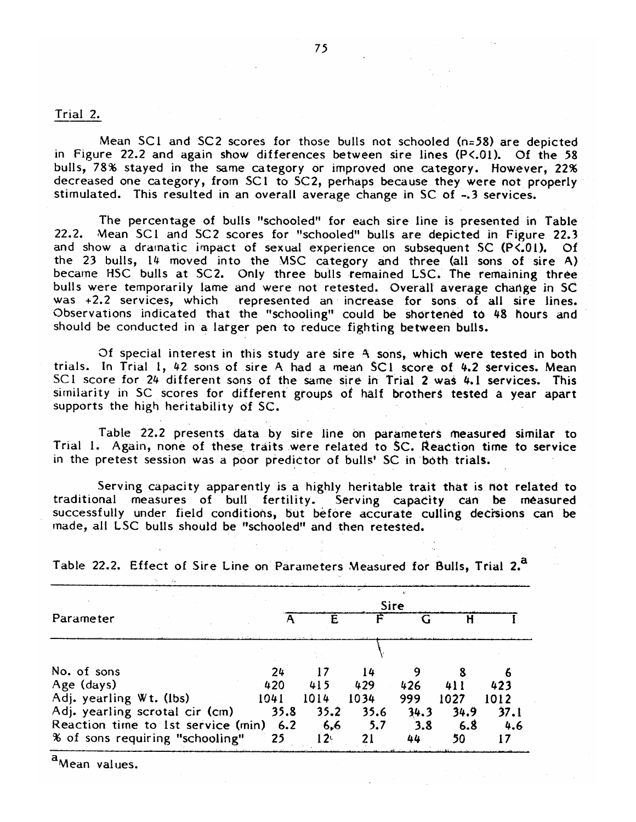#### Trial 2.

Mean SC1 and SC2 scores for those bulls not schooled  $(n=58)$  are depicted in Figure 22.2 and again show differences between sire lines (P<.01). Of the 58 bulls, 78% stayed in the same category or improved one category. However, 22% decreased one category, from SC1 to SC2, perhaps because they were not properly stimulated. This resulted in an overall average change in SC of -.3 services.

The percentage of bulls "schooled" for each sire line is presented in Table  $22.2.$ Mean SC1 and SC2 scores for "schooled" bulls are depicted in Figure 22.3 and show a dramatic impact of sexual experience on subsequent SC (P<.01). Ōf the 23 bulls, 14 moved into the MSC category and three (all sons of sire A) became HSC bulls at SC2. Only three bulls remained LSC. The remaining three bulls were temporarily lame and were not retested. Overall average change in SC represented an increase for sons of all sire lines. was +2.2 services, which Observations indicated that the "schooling" could be shortened to 48 hours and should be conducted in a larger pen to reduce fighting between bulls.

Of special interest in this study are sire A sons, which were tested in both trials. In Trial 1, 42 sons of sire A had a mean SC1 score of 4.2 services. Mean SC1 score for 24 different sons of the same sire in Trial 2 was 4.1 services. This similarity in SC scores for different groups of half brothers tested a year apart supports the high heritability of SC.

Table 22.2 presents data by sire line on parameters measured similar to Trial 1. Again, none of these traits were related to SC. Reaction time to service in the pretest session was a poor predictor of bulls' SC in both trials.

Serving capacity apparently is a highly heritable trait that is not related to traditional measures of bull fertility. Serving capacity can be measured successfully under field conditions, but before accurate culling decisions can be made, all LSC bulls should be "schooled" and then retested.

|                                        | Sire |             |      |                                                                                                                                                                                                                                      |      |      |  |
|----------------------------------------|------|-------------|------|--------------------------------------------------------------------------------------------------------------------------------------------------------------------------------------------------------------------------------------|------|------|--|
| Parameter                              |      |             |      |                                                                                                                                                                                                                                      |      |      |  |
|                                        |      |             |      |                                                                                                                                                                                                                                      |      |      |  |
| No. of sons                            | 24   |             | 14   |                                                                                                                                                                                                                                      |      |      |  |
| Age (days)                             | 420  | 415         | 429  | 426                                                                                                                                                                                                                                  |      | 423  |  |
| Adj. yearling Wt. (lbs)                | 1041 | 1014        | 1034 | 999                                                                                                                                                                                                                                  | 1027 | 1012 |  |
| Adj. yearling scrotal cir (cm)         | 35.8 | 35.2        | 35.6 | 34.3                                                                                                                                                                                                                                 | 34.9 | 37.1 |  |
| Reaction time to 1st service (min) 6.2 |      | 6.6         | 5.7  | 3.8                                                                                                                                                                                                                                  | 6.8  | 4.6  |  |
| % of sons requiring "schooling"        | 25   | $2\epsilon$ |      | 44<br>and the common and a second common and the common and the common and the common second second and the common second and the common second and the common second and the common second and the common second and the common sec | 50   |      |  |

Table 22.2. Effect of Sire Line on Parameters Measured for Bulls, Trial 2.<sup>8</sup>

a<sub>Mean values.</sub>